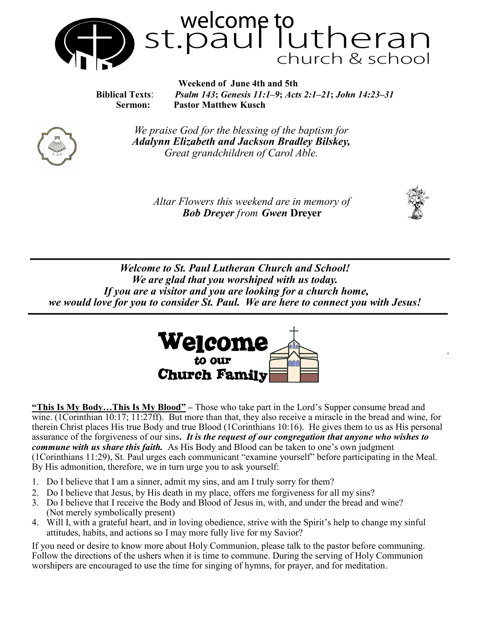

 **Biblical Texts**: *Psalm 143***;** *Genesis 11:1–9***;** *Acts 2:1–21***;** *John 14:23–31* **Sermon: Pastor Matthew Kusch**



*We praise God for the blessing of the baptism for Adalynn Elizabeth and Jackson Bradley Bilskey, Great grandchildren of Carol Able.* 

*Altar Flowers this weekend are in memory of Bob Dreyer from Gwen* **Dreyer**



*Welcome to St. Paul Lutheran Church and School! We are glad that you worshiped with us today. If you are a visitor and you are looking for a church home, we would love for you to consider St. Paul. We are here to connect you with Jesus!*



**"This Is My Body…This Is My Blood" –** Those who take part in the Lord's Supper consume bread and wine. (1Corinthian 10:17; 11:27ff). But more than that, they also receive a miracle in the bread and wine, for therein Christ places His true Body and true Blood (1Corinthians 10:16). He gives them to us as His personal assurance of the forgiveness of our sins**.** *It is the request of our congregation that anyone who wishes to commune with us share this faith.* As His Body and Blood can be taken to one's own judgment (1Corinthians 11:29), St. Paul urges each communicant "examine yourself" before participating in the Meal. By His admonition, therefore, we in turn urge you to ask yourself:

- 1. Do I believe that I am a sinner, admit my sins, and am I truly sorry for them?
- 2. Do I believe that Jesus, by His death in my place, offers me forgiveness for all my sins?
- 3. Do I believe that I receive the Body and Blood of Jesus in, with, and under the bread and wine? (Not merely symbolically present)
- 4. Will I, with a grateful heart, and in loving obedience, strive with the Spirit's help to change my sinful attitudes, habits, and actions so I may more fully live for my Savior?

If you need or desire to know more about Holy Communion, please talk to the pastor before communing. Follow the directions of the ushers when it is time to commune. During the serving of Holy Communion worshipers are encouraged to use the time for singing of hymns, for prayer, and for meditation.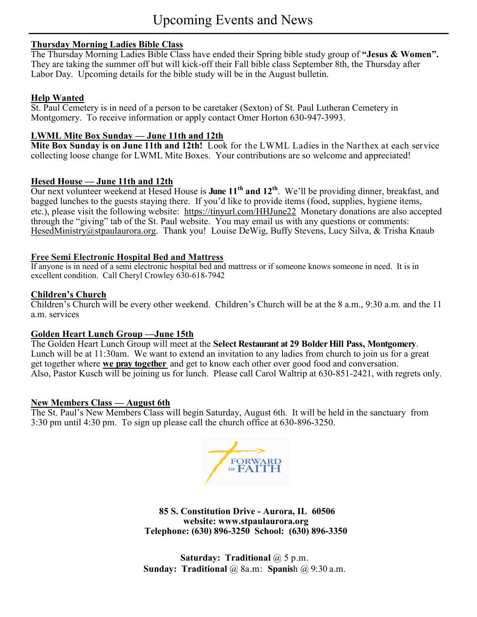## **Thursday Morning Ladies Bible Class**

The Thursday Morning Ladies Bible Class have ended their Spring bible study group of **"Jesus & Women".**  They are taking the summer off but will kick-off their Fall bible class September 8th, the Thursday after Labor Day. Upcoming details for the bible study will be in the August bulletin.

## **Help Wanted**

St. Paul Cemetery is in need of a person to be caretaker (Sexton) of St. Paul Lutheran Cemetery in Montgomery. To receive information or apply contact Omer Horton 630-947-3993.

## **LWML Mite Box Sunday — June 11th and 12th**

**Mite Box Sunday is on June 11th and 12th!** Look for the LWML Ladies in the Narthex at each service collecting loose change for LWML Mite Boxes. Your contributions are so welcome and appreciated!

## **Hesed House — June 11th and 12th**

Our next volunteer weekend at Hesed House is **June 11th and 12th** . We'll be providing dinner, breakfast, and bagged lunches to the guests staying there. If you'd like to provide items (food, supplies, hygiene items, etc.), please visit the following website: <https://tinyurl.com/HHJune22> Monetary donations are also accepted through the "giving" tab of the St. Paul website. You may email us with any questions or comments: [HesedMinistry@stpaulaurora.org.](mailto:HesedMinistry@stpaulaurora.org) Thank you! Louise DeWig, Buffy Stevens, Lucy Silva, & Trisha Knaub

## **Free Semi Electronic Hospital Bed and Mattress**

If anyone is in need of a semi electronic hospital bed and mattress or if someone knows someone in need. It is in excellent condition. Call Cheryl Crowley 630-618-7942

#### **Children's Church**

Children's Church will be every other weekend. Children's Church will be at the 8 a.m., 9:30 a.m. and the 11 a.m. services

## **Golden Heart Lunch Group —June 15th**

The Golden Heart Lunch Group will meet at the **Select Restaurant at 29 Bolder Hill Pass, Montgomery**. Lunch will be at 11:30am. We want to extend an invitation to any ladies from church to join us for a great get together where **we pray together** and get to know each other over good food and conversation. Also, Pastor Kusch will be joining us for lunch. Please call Carol Waltrip at 630-851-2421, with regrets only.

#### **New Members Class — August 6th**

The St. Paul's New Members Class will begin Saturday, August 6th. It will be held in the sanctuary from 3:30 pm until 4:30 pm. To sign up please call the church office at 630-896-3250.



**85 S. Constitution Drive - Aurora, IL 60506 website: www.stpaulaurora.org Telephone: (630) 896-3250 School: (630) 896-3350**

**Saturday: Traditional** @ 5 p.m. **Sunday: Traditional** @ 8a.m: **Spanis**h @ 9:30 a.m.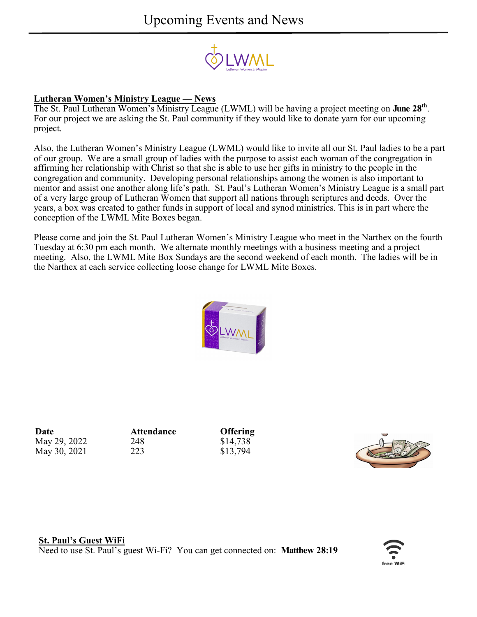

## **Lutheran Women's Ministry League — News**

The St. Paul Lutheran Women's Ministry League (LWML) will be having a project meeting on **June 28th** . For our project we are asking the St. Paul community if they would like to donate yarn for our upcoming project.

Also, the Lutheran Women's Ministry League (LWML) would like to invite all our St. Paul ladies to be a part of our group. We are a small group of ladies with the purpose to assist each woman of the congregation in affirming her relationship with Christ so that she is able to use her gifts in ministry to the people in the congregation and community. Developing personal relationships among the women is also important to mentor and assist one another along life's path. St. Paul's Lutheran Women's Ministry League is a small part of a very large group of Lutheran Women that support all nations through scriptures and deeds. Over the years, a box was created to gather funds in support of local and synod ministries. This is in part where the conception of the LWML Mite Boxes began.

Please come and join the St. Paul Lutheran Women's Ministry League who meet in the Narthex on the fourth Tuesday at 6:30 pm each month. We alternate monthly meetings with a business meeting and a project meeting. Also, the LWML Mite Box Sundays are the second weekend of each month. The ladies will be in the Narthex at each service collecting loose change for LWML Mite Boxes.



**Date Attendance Offering** May 29, 2022 248 \$14,738 May 30, 2021 223 \$13,794